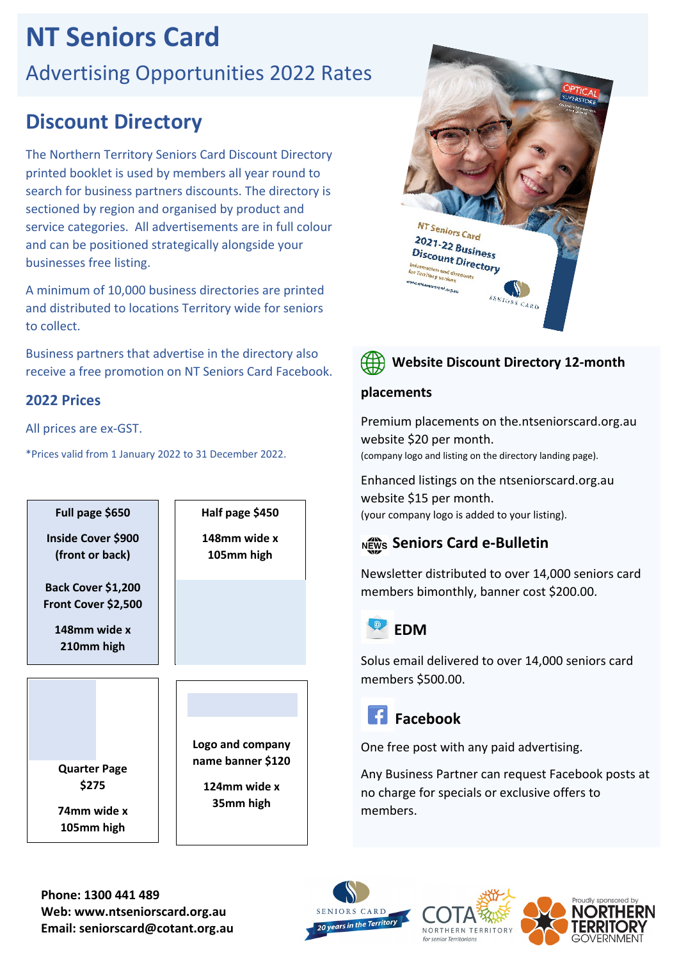# **NT Seniors Card**

# Advertising Opportunities 2022 Rates

# **Discount Directory**

The Northern Territory Seniors Card Discount Directory printed booklet is used by members all year round to search for business partners discounts. The directory is sectioned by region and organised by product and service categories. All advertisements are in full colour and can be positioned strategically alongside your businesses free listing.

A minimum of 10,000 business directories are printed and distributed to locations Territory wide for seniors to collect.

Business partners that advertise in the directory also receive a free promotion on NT Seniors Card Facebook.

## **2022 Prices**

All prices are ex-GST.

\*Prices valid from 1 January 2022 to 31 December 2022.







### **Website Discount Directory 12-month**

#### **placements**

Premium placements on the.ntseniorscard.org.au website \$20 per month. (company logo and listing on the directory landing page).

Enhanced listings on the ntseniorscard.org.au website \$15 per month. (your company logo is added to your listing).

# **Seniors Card e-Bulletin**

Newsletter distributed to over 14,000 seniors card members bimonthly, banner cost \$200.00.

# **EDM**

Solus email delivered to over 14,000 seniors card members \$500.00.

# **Facebook**

One free post with any paid advertising.

Any Business Partner can request Facebook posts at no charge for specials or exclusive offers to members.